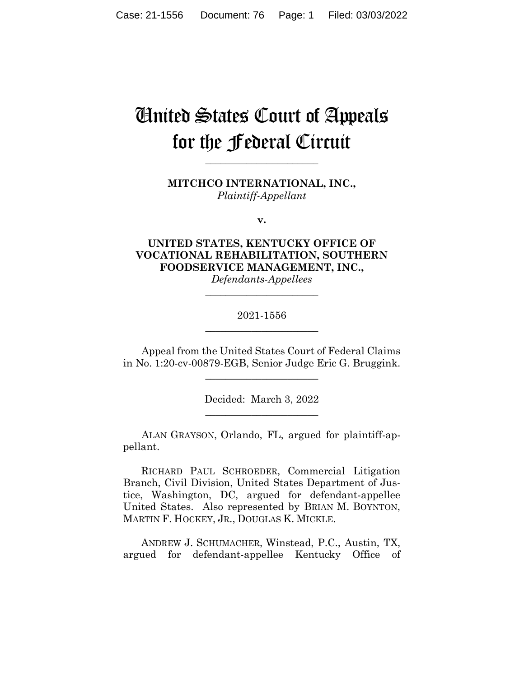# United States Court of Appeals for the Federal Circuit

**MITCHCO INTERNATIONAL, INC.,** *Plaintiff-Appellant*

**\_\_\_\_\_\_\_\_\_\_\_\_\_\_\_\_\_\_\_\_\_\_** 

**v.**

**UNITED STATES, KENTUCKY OFFICE OF VOCATIONAL REHABILITATION, SOUTHERN FOODSERVICE MANAGEMENT, INC.,** *Defendants-Appellees*

# 2021-1556 **\_\_\_\_\_\_\_\_\_\_\_\_\_\_\_\_\_\_\_\_\_\_**

**\_\_\_\_\_\_\_\_\_\_\_\_\_\_\_\_\_\_\_\_\_\_** 

Appeal from the United States Court of Federal Claims in No. 1:20-cv-00879-EGB, Senior Judge Eric G. Bruggink.

\_\_\_\_\_\_\_\_\_\_\_\_\_\_\_\_\_\_\_\_\_\_

Decided: March 3, 2022 \_\_\_\_\_\_\_\_\_\_\_\_\_\_\_\_\_\_\_\_\_\_

ALAN GRAYSON, Orlando, FL, argued for plaintiff-appellant.

 RICHARD PAUL SCHROEDER, Commercial Litigation Branch, Civil Division, United States Department of Justice, Washington, DC, argued for defendant-appellee United States. Also represented by BRIAN M. BOYNTON, MARTIN F. HOCKEY, JR., DOUGLAS K. MICKLE.

 ANDREW J. SCHUMACHER, Winstead, P.C., Austin, TX, argued for defendant-appellee Kentucky Office of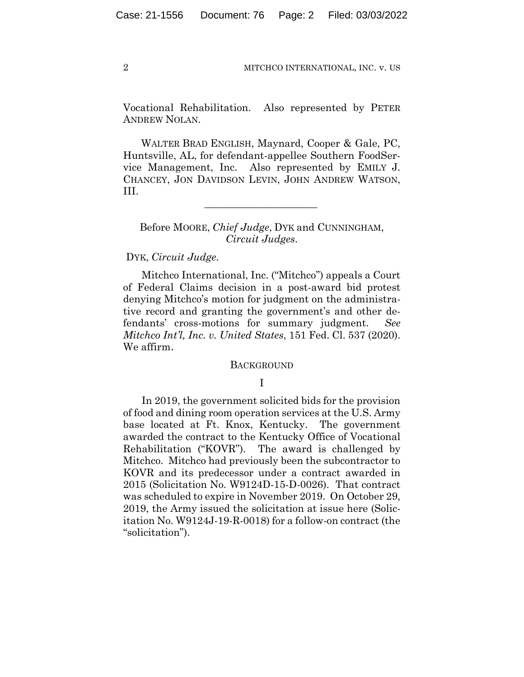Vocational Rehabilitation. Also represented by PETER ANDREW NOLAN.

 WALTER BRAD ENGLISH, Maynard, Cooper & Gale, PC, Huntsville, AL, for defendant-appellee Southern FoodService Management, Inc. Also represented by EMILY J. CHANCEY, JON DAVIDSON LEVIN, JOHN ANDREW WATSON, III.

# Before MOORE, *Chief Judge*, DYK and CUNNINGHAM, *Circuit Judges*.

 $\mathcal{L}_\text{max}$  and  $\mathcal{L}_\text{max}$  and  $\mathcal{L}_\text{max}$  and  $\mathcal{L}_\text{max}$ 

#### DYK, *Circuit Judge*.

Mitchco International, Inc. ("Mitchco") appeals a Court of Federal Claims decision in a post-award bid protest denying Mitchco's motion for judgment on the administrative record and granting the government's and other defendants' cross-motions for summary judgment. *See Mitchco Int'l, Inc. v. United States*, 151 Fed. Cl. 537 (2020). We affirm.

#### BACKGROUND

## I

In 2019, the government solicited bids for the provision of food and dining room operation services at the U.S. Army base located at Ft. Knox, Kentucky. The government awarded the contract to the Kentucky Office of Vocational Rehabilitation ("KOVR"). The award is challenged by Mitchco. Mitchco had previously been the subcontractor to KOVR and its predecessor under a contract awarded in 2015 (Solicitation No. W9124D-15-D-0026). That contract was scheduled to expire in November 2019. On October 29, 2019, the Army issued the solicitation at issue here (Solicitation No. W9124J-19-R-0018) for a follow-on contract (the "solicitation").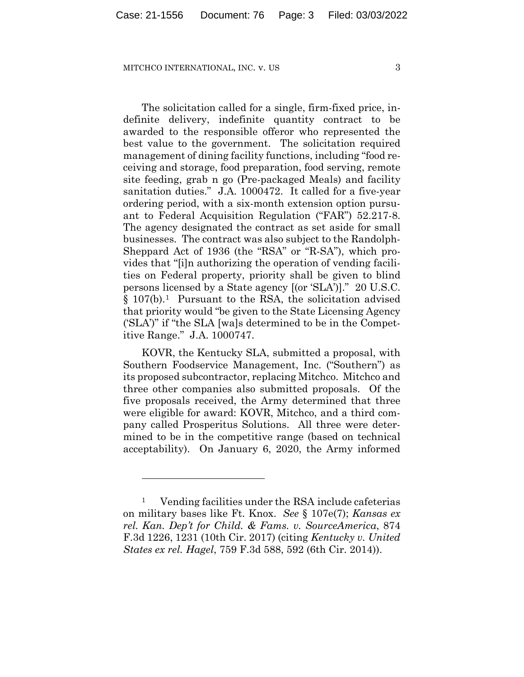The solicitation called for a single, firm-fixed price, indefinite delivery, indefinite quantity contract to be awarded to the responsible offeror who represented the best value to the government. The solicitation required management of dining facility functions, including "food receiving and storage, food preparation, food serving, remote site feeding, grab n go (Pre-packaged Meals) and facility sanitation duties." J.A. 1000472. It called for a five-year ordering period, with a six-month extension option pursuant to Federal Acquisition Regulation ("FAR") 52.217-8. The agency designated the contract as set aside for small businesses. The contract was also subject to the Randolph-Sheppard Act of 1936 (the "RSA" or "R-SA"), which provides that "[i]n authorizing the operation of vending facilities on Federal property, priority shall be given to blind persons licensed by a State agency [(or 'SLA')]." 20 U.S.C. § 107(b).1 Pursuant to the RSA, the solicitation advised that priority would "be given to the State Licensing Agency ('SLA')" if "the SLA [wa]s determined to be in the Competitive Range." J.A. 1000747.

KOVR, the Kentucky SLA, submitted a proposal, with Southern Foodservice Management, Inc. ("Southern") as its proposed subcontractor, replacing Mitchco. Mitchco and three other companies also submitted proposals. Of the five proposals received, the Army determined that three were eligible for award: KOVR, Mitchco, and a third company called Prosperitus Solutions.All three were determined to be in the competitive range (based on technical acceptability). On January 6, 2020, the Army informed

<sup>1</sup> Vending facilities under the RSA include cafeterias on military bases like Ft. Knox. *See* § 107e(7); *Kansas ex rel. Kan. Dep't for Child. & Fams. v. SourceAmerica*, 874 F.3d 1226, 1231 (10th Cir. 2017) (citing *Kentucky v. United States ex rel. Hagel*, 759 F.3d 588, 592 (6th Cir. 2014)).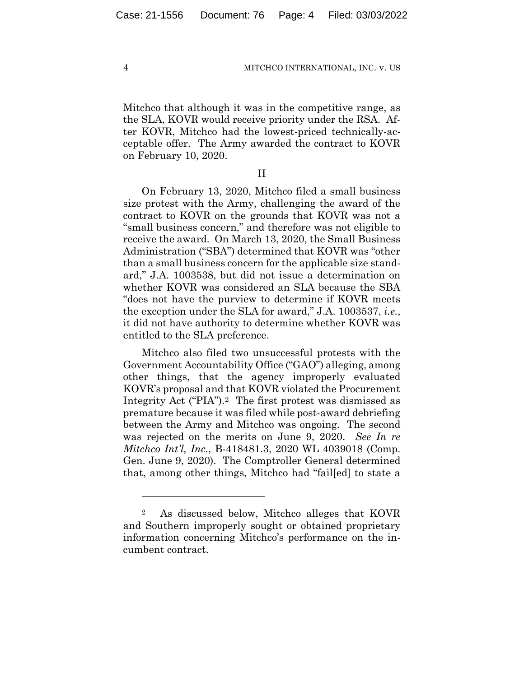Mitchco that although it was in the competitive range, as the SLA, KOVR would receive priority under the RSA. After KOVR, Mitchco had the lowest-priced technically-acceptable offer. The Army awarded the contract to KOVR on February 10, 2020.

II

On February 13, 2020, Mitchco filed a small business size protest with the Army, challenging the award of the contract to KOVR on the grounds that KOVR was not a "small business concern," and therefore was not eligible to receive the award. On March 13, 2020, the Small Business Administration ("SBA") determined that KOVR was "other than a small business concern for the applicable size standard," J.A. 1003538, but did not issue a determination on whether KOVR was considered an SLA because the SBA "does not have the purview to determine if KOVR meets the exception under the SLA for award," J.A. 1003537, *i.e.*, it did not have authority to determine whether KOVR was entitled to the SLA preference.

Mitchco also filed two unsuccessful protests with the Government Accountability Office ("GAO") alleging, among other things, that the agency improperly evaluated KOVR's proposal and that KOVR violated the Procurement Integrity Act ("PIA").2 The first protest was dismissed as premature because it was filed while post-award debriefing between the Army and Mitchco was ongoing. The second was rejected on the merits on June 9, 2020. *See In re Mitchco Int'l, Inc.*, B-418481.3, 2020 WL 4039018 (Comp. Gen. June 9, 2020). The Comptroller General determined that, among other things, Mitchco had "fail[ed] to state a

<sup>2</sup> As discussed below, Mitchco alleges that KOVR and Southern improperly sought or obtained proprietary information concerning Mitchco's performance on the incumbent contract.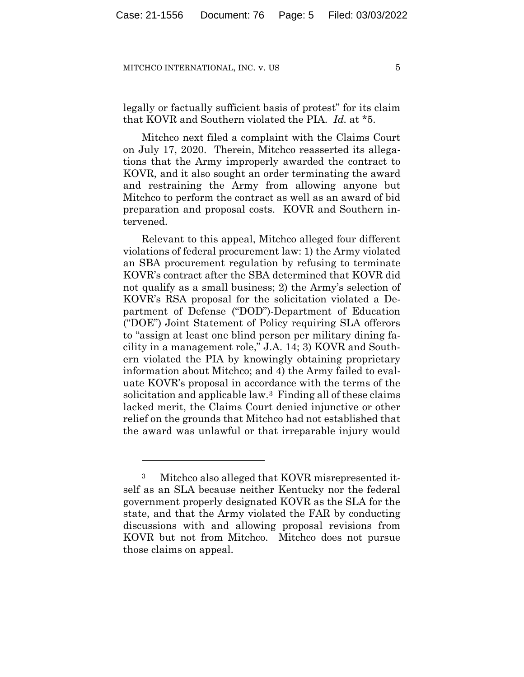legally or factually sufficient basis of protest" for its claim that KOVR and Southern violated the PIA. *Id.* at \*5.

Mitchco next filed a complaint with the Claims Court on July 17, 2020. Therein, Mitchco reasserted its allegations that the Army improperly awarded the contract to KOVR, and it also sought an order terminating the award and restraining the Army from allowing anyone but Mitchco to perform the contract as well as an award of bid preparation and proposal costs. KOVR and Southern intervened.

Relevant to this appeal, Mitchco alleged four different violations of federal procurement law: 1) the Army violated an SBA procurement regulation by refusing to terminate KOVR's contract after the SBA determined that KOVR did not qualify as a small business; 2) the Army's selection of KOVR's RSA proposal for the solicitation violated a Department of Defense ("DOD")-Department of Education ("DOE") Joint Statement of Policy requiring SLA offerors to "assign at least one blind person per military dining facility in a management role," J.A. 14; 3) KOVR and Southern violated the PIA by knowingly obtaining proprietary information about Mitchco; and 4) the Army failed to evaluate KOVR's proposal in accordance with the terms of the solicitation and applicable law.3 Finding all of these claims lacked merit, the Claims Court denied injunctive or other relief on the grounds that Mitchco had not established that the award was unlawful or that irreparable injury would

<sup>3</sup> Mitchco also alleged that KOVR misrepresented itself as an SLA because neither Kentucky nor the federal government properly designated KOVR as the SLA for the state, and that the Army violated the FAR by conducting discussions with and allowing proposal revisions from KOVR but not from Mitchco. Mitchco does not pursue those claims on appeal.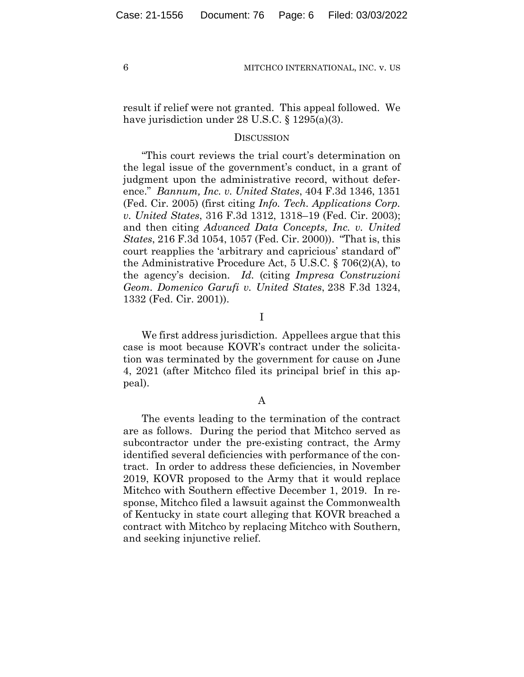result if relief were not granted. This appeal followed. We have jurisdiction under 28 U.S.C. § 1295(a)(3).

## **DISCUSSION**

"This court reviews the trial court's determination on the legal issue of the government's conduct, in a grant of judgment upon the administrative record, without deference." *Bannum, Inc. v. United States*, 404 F.3d 1346, 1351 (Fed. Cir. 2005) (first citing *Info. Tech. Applications Corp. v. United States*, 316 F.3d 1312, 1318–19 (Fed. Cir. 2003); and then citing *Advanced Data Concepts, Inc. v. United States*, 216 F.3d 1054, 1057 (Fed. Cir. 2000)). "That is, this court reapplies the 'arbitrary and capricious' standard of" the Administrative Procedure Act, 5 U.S.C. § 706(2)(A), to the agency's decision. *Id.* (citing *Impresa Construzioni Geom. Domenico Garufi v. United States*, 238 F.3d 1324, 1332 (Fed. Cir. 2001)).

I

We first address jurisdiction. Appellees argue that this case is moot because KOVR's contract under the solicitation was terminated by the government for cause on June 4, 2021 (after Mitchco filed its principal brief in this appeal).

## A

The events leading to the termination of the contract are as follows. During the period that Mitchco served as subcontractor under the pre-existing contract, the Army identified several deficiencies with performance of the contract. In order to address these deficiencies, in November 2019, KOVR proposed to the Army that it would replace Mitchco with Southern effective December 1, 2019. In response, Mitchco filed a lawsuit against the Commonwealth of Kentucky in state court alleging that KOVR breached a contract with Mitchco by replacing Mitchco with Southern, and seeking injunctive relief.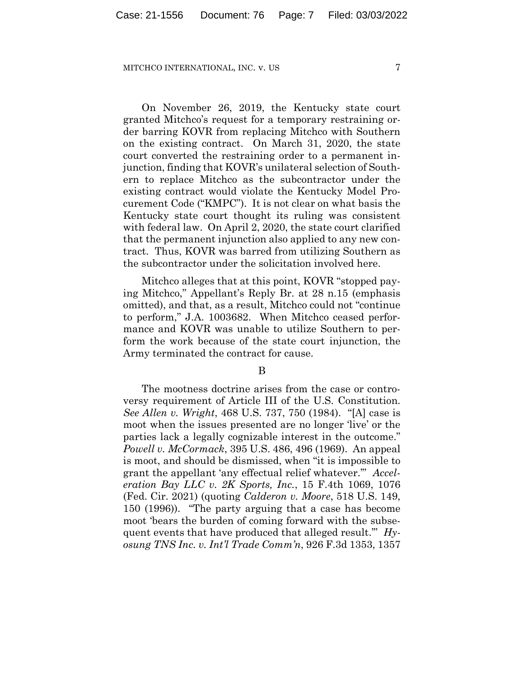On November 26, 2019, the Kentucky state court granted Mitchco's request for a temporary restraining order barring KOVR from replacing Mitchco with Southern on the existing contract. On March 31, 2020, the state court converted the restraining order to a permanent injunction, finding that KOVR's unilateral selection of Southern to replace Mitchco as the subcontractor under the existing contract would violate the Kentucky Model Procurement Code ("KMPC"). It is not clear on what basis the Kentucky state court thought its ruling was consistent with federal law. On April 2, 2020, the state court clarified that the permanent injunction also applied to any new contract. Thus, KOVR was barred from utilizing Southern as the subcontractor under the solicitation involved here.

Mitchco alleges that at this point, KOVR "stopped paying Mitchco," Appellant's Reply Br. at 28 n.15 (emphasis omitted), and that, as a result, Mitchco could not "continue to perform," J.A. 1003682. When Mitchco ceased performance and KOVR was unable to utilize Southern to perform the work because of the state court injunction, the Army terminated the contract for cause.

B

The mootness doctrine arises from the case or controversy requirement of Article III of the U.S. Constitution. *See Allen v. Wright*, 468 U.S. 737, 750 (1984). "[A] case is moot when the issues presented are no longer 'live' or the parties lack a legally cognizable interest in the outcome." *Powell v. McCormack*, 395 U.S. 486, 496 (1969). An appeal is moot, and should be dismissed, when "it is impossible to grant the appellant 'any effectual relief whatever.'" *Acceleration Bay LLC v. 2K Sports, Inc.*, 15 F.4th 1069, 1076 (Fed. Cir. 2021) (quoting *Calderon v. Moore*, 518 U.S. 149, 150 (1996)). "The party arguing that a case has become moot 'bears the burden of coming forward with the subsequent events that have produced that alleged result.'" *Hyosung TNS Inc. v. Int'l Trade Comm'n*, 926 F.3d 1353, 1357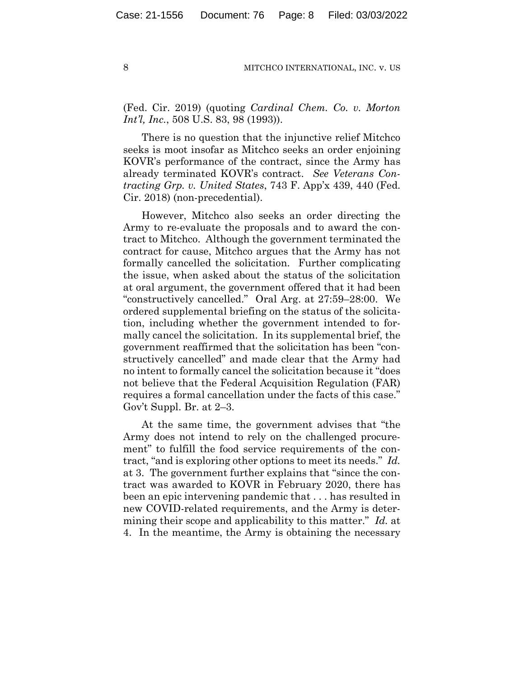(Fed. Cir. 2019) (quoting *Cardinal Chem. Co. v. Morton Int'l, Inc.*, 508 U.S. 83, 98 (1993)).

There is no question that the injunctive relief Mitchco seeks is moot insofar as Mitchco seeks an order enjoining KOVR's performance of the contract, since the Army has already terminated KOVR's contract. *See Veterans Contracting Grp. v. United States*, 743 F. App'x 439, 440 (Fed. Cir. 2018) (non-precedential).

However, Mitchco also seeks an order directing the Army to re-evaluate the proposals and to award the contract to Mitchco. Although the government terminated the contract for cause, Mitchco argues that the Army has not formally cancelled the solicitation. Further complicating the issue, when asked about the status of the solicitation at oral argument, the government offered that it had been "constructively cancelled." Oral Arg. at 27:59–28:00. We ordered supplemental briefing on the status of the solicitation, including whether the government intended to formally cancel the solicitation. In its supplemental brief, the government reaffirmed that the solicitation has been "constructively cancelled" and made clear that the Army had no intent to formally cancel the solicitation because it "does not believe that the Federal Acquisition Regulation (FAR) requires a formal cancellation under the facts of this case." Gov't Suppl. Br. at 2–3.

At the same time, the government advises that "the Army does not intend to rely on the challenged procurement" to fulfill the food service requirements of the contract, "and is exploring other options to meet its needs." *Id.* at 3. The government further explains that "since the contract was awarded to KOVR in February 2020, there has been an epic intervening pandemic that . . . has resulted in new COVID-related requirements, and the Army is determining their scope and applicability to this matter." *Id.* at 4. In the meantime, the Army is obtaining the necessary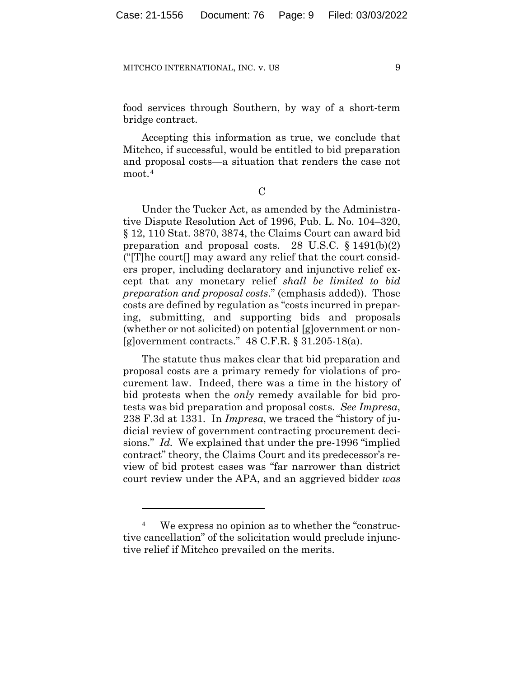food services through Southern, by way of a short-term bridge contract.

Accepting this information as true, we conclude that Mitchco, if successful, would be entitled to bid preparation and proposal costs—a situation that renders the case not moot.<sup>4</sup>

 $\overline{C}$ 

Under the Tucker Act, as amended by the Administrative Dispute Resolution Act of 1996, Pub. L. No. 104–320, § 12, 110 Stat. 3870, 3874, the Claims Court can award bid preparation and proposal costs. 28 U.S.C.  $\S 1491(b)(2)$ (" $[T]$ he court $[]$  may award any relief that the court considers proper, including declaratory and injunctive relief except that any monetary relief *shall be limited to bid preparation and proposal costs*." (emphasis added)). Those costs are defined by regulation as "costs incurred in preparing, submitting, and supporting bids and proposals (whether or not solicited) on potential [g]overnment or non- [g]overnment contracts." 48 C.F.R. § 31.205-18(a).

The statute thus makes clear that bid preparation and proposal costs are a primary remedy for violations of procurement law. Indeed, there was a time in the history of bid protests when the *only* remedy available for bid protests was bid preparation and proposal costs. *See Impresa*, 238 F.3d at 1331. In *Impresa*, we traced the "history of judicial review of government contracting procurement decisions." *Id.* We explained that under the pre-1996 "implied contract" theory, the Claims Court and its predecessor's review of bid protest cases was "far narrower than district court review under the APA, and an aggrieved bidder *was* 

<sup>4</sup> We express no opinion as to whether the "constructive cancellation" of the solicitation would preclude injunctive relief if Mitchco prevailed on the merits.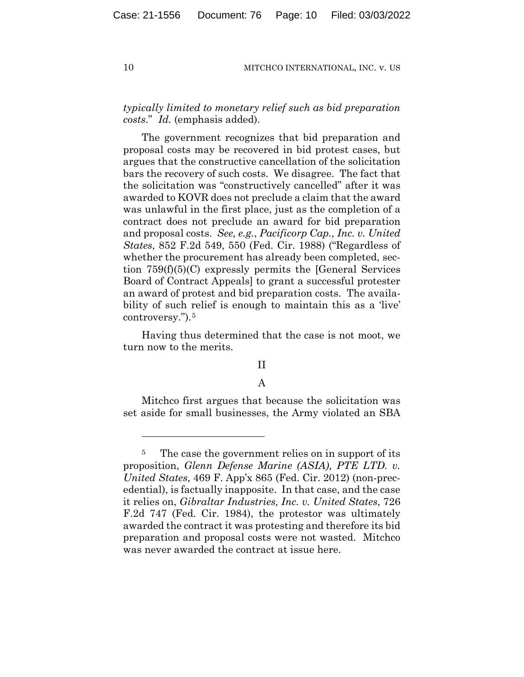*typically limited to monetary relief such as bid preparation costs*." *Id.* (emphasis added).

The government recognizes that bid preparation and proposal costs may be recovered in bid protest cases, but argues that the constructive cancellation of the solicitation bars the recovery of such costs. We disagree. The fact that the solicitation was "constructively cancelled" after it was awarded to KOVR does not preclude a claim that the award was unlawful in the first place, just as the completion of a contract does not preclude an award for bid preparation and proposal costs. *See, e.g.*, *Pacificorp Cap., Inc. v. United States*, 852 F.2d 549, 550 (Fed. Cir. 1988) ("Regardless of whether the procurement has already been completed, section 759(f)(5)(C) expressly permits the [General Services Board of Contract Appeals] to grant a successful protester an award of protest and bid preparation costs. The availability of such relief is enough to maintain this as a 'live' controversy.").5

Having thus determined that the case is not moot, we turn now to the merits.

# II

## A

Mitchco first argues that because the solicitation was set aside for small businesses, the Army violated an SBA

<sup>&</sup>lt;sup>5</sup> The case the government relies on in support of its proposition, *Glenn Defense Marine (ASIA), PTE LTD. v. United States*, 469 F. App'x 865 (Fed. Cir. 2012) (non-precedential), is factually inapposite. In that case, and the case it relies on, *Gibraltar Industries, Inc. v. United States*, 726 F.2d 747 (Fed. Cir. 1984), the protestor was ultimately awarded the contract it was protesting and therefore its bid preparation and proposal costs were not wasted. Mitchco was never awarded the contract at issue here.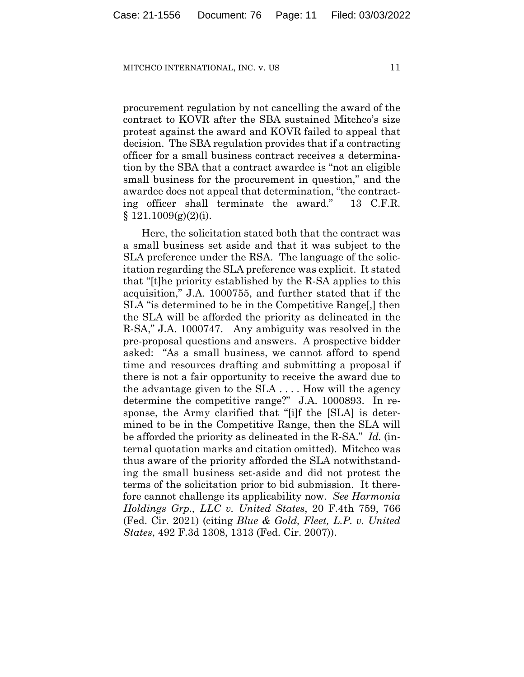procurement regulation by not cancelling the award of the contract to KOVR after the SBA sustained Mitchco's size protest against the award and KOVR failed to appeal that decision. The SBA regulation provides that if a contracting officer for a small business contract receives a determination by the SBA that a contract awardee is "not an eligible small business for the procurement in question," and the awardee does not appeal that determination, "the contracting officer shall terminate the award." 13 C.F.R.  $§ 121.1009(g)(2)(i).$ 

Here, the solicitation stated both that the contract was a small business set aside and that it was subject to the SLA preference under the RSA. The language of the solicitation regarding the SLA preference was explicit. It stated that "[t]he priority established by the R-SA applies to this acquisition," J.A. 1000755, and further stated that if the SLA "is determined to be in the Competitive Range[,] then the SLA will be afforded the priority as delineated in the R-SA," J.A. 1000747.Any ambiguity was resolved in the pre-proposal questions and answers. A prospective bidder asked: "As a small business, we cannot afford to spend time and resources drafting and submitting a proposal if there is not a fair opportunity to receive the award due to the advantage given to the SLA . . . . How will the agency determine the competitive range?" J.A. 1000893. In response, the Army clarified that "[i]f the [SLA] is determined to be in the Competitive Range, then the SLA will be afforded the priority as delineated in the R-SA." *Id.* (internal quotation marks and citation omitted). Mitchco was thus aware of the priority afforded the SLA notwithstanding the small business set-aside and did not protest the terms of the solicitation prior to bid submission. It therefore cannot challenge its applicability now. *See Harmonia Holdings Grp., LLC v. United States*, 20 F.4th 759, 766 (Fed. Cir. 2021) (citing *Blue & Gold, Fleet, L.P. v. United States*, 492 F.3d 1308, 1313 (Fed. Cir. 2007)).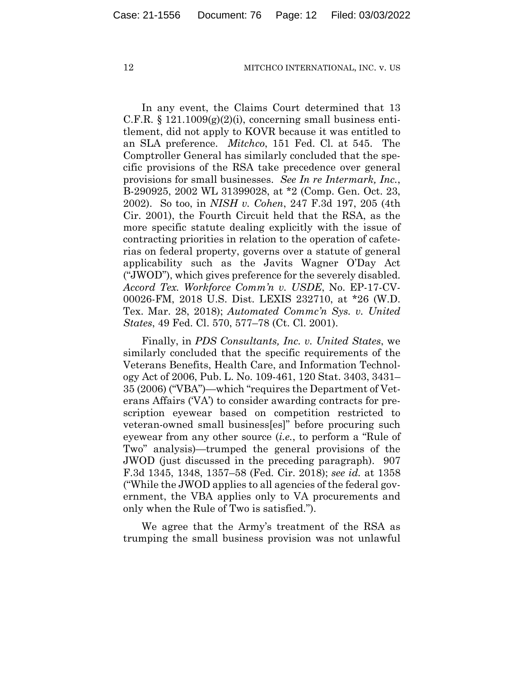In any event, the Claims Court determined that 13 C.F.R.  $\S 121.1009(g)(2)(i)$ , concerning small business entitlement, did not apply to KOVR because it was entitled to an SLA preference. *Mitchco*, 151 Fed. Cl. at 545. The Comptroller General has similarly concluded that the specific provisions of the RSA take precedence over general provisions for small businesses. *See In re Intermark, Inc.*, B-290925, 2002 WL 31399028, at \*2 (Comp. Gen. Oct. 23, 2002). So too, in *NISH v. Cohen*, 247 F.3d 197, 205 (4th Cir. 2001), the Fourth Circuit held that the RSA, as the more specific statute dealing explicitly with the issue of contracting priorities in relation to the operation of cafeterias on federal property, governs over a statute of general applicability such as the Javits Wagner O'Day Act ("JWOD"), which gives preference for the severely disabled. *Accord Tex. Workforce Comm'n v. USDE*, No. EP-17-CV-00026-FM, 2018 U.S. Dist. LEXIS 232710, at \*26 (W.D. Tex. Mar. 28, 2018); *Automated Commc'n Sys. v. United States*, 49 Fed. Cl. 570, 577–78 (Ct. Cl. 2001).

Finally, in *PDS Consultants, Inc. v. United States*, we similarly concluded that the specific requirements of the Veterans Benefits, Health Care, and Information Technology Act of 2006, Pub. L. No. 109-461, 120 Stat. 3403, 3431– 35 (2006) ("VBA")—which "requires the Department of Veterans Affairs ('VA') to consider awarding contracts for prescription eyewear based on competition restricted to veteran-owned small business[es]" before procuring such eyewear from any other source (*i.e.*, to perform a "Rule of Two" analysis)—trumped the general provisions of the JWOD (just discussed in the preceding paragraph). 907 F.3d 1345, 1348, 1357–58 (Fed. Cir. 2018); *see id.* at 1358 ("While the JWOD applies to all agencies of the federal government, the VBA applies only to VA procurements and only when the Rule of Two is satisfied.").

We agree that the Army's treatment of the RSA as trumping the small business provision was not unlawful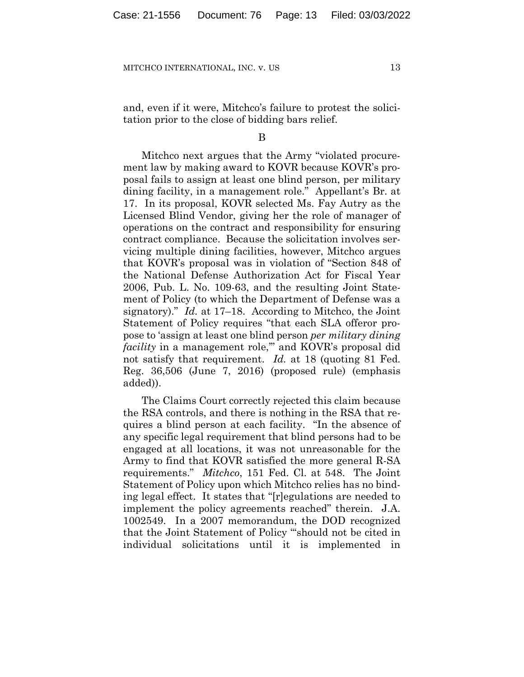and, even if it were, Mitchco's failure to protest the solicitation prior to the close of bidding bars relief.

B

Mitchco next argues that the Army "violated procurement law by making award to KOVR because KOVR's proposal fails to assign at least one blind person, per military dining facility, in a management role." Appellant's Br. at 17. In its proposal, KOVR selected Ms. Fay Autry as the Licensed Blind Vendor, giving her the role of manager of operations on the contract and responsibility for ensuring contract compliance. Because the solicitation involves servicing multiple dining facilities, however, Mitchco argues that KOVR's proposal was in violation of "Section 848 of the National Defense Authorization Act for Fiscal Year 2006, Pub. L. No. 109-63, and the resulting Joint Statement of Policy (to which the Department of Defense was a signatory)." *Id.* at 17–18. According to Mitchco, the Joint Statement of Policy requires "that each SLA offeror propose to 'assign at least one blind person *per military dining facility* in a management role," and KOVR's proposal did not satisfy that requirement. *Id.* at 18 (quoting 81 Fed. Reg. 36,506 (June 7, 2016) (proposed rule) (emphasis added)).

The Claims Court correctly rejected this claim because the RSA controls, and there is nothing in the RSA that requires a blind person at each facility. "In the absence of any specific legal requirement that blind persons had to be engaged at all locations, it was not unreasonable for the Army to find that KOVR satisfied the more general R-SA requirements." *Mitchco*, 151 Fed. Cl. at 548. The Joint Statement of Policy upon which Mitchco relies has no binding legal effect. It states that "[r]egulations are needed to implement the policy agreements reached" therein. J.A. 1002549. In a 2007 memorandum, the DOD recognized that the Joint Statement of Policy "'should not be cited in individual solicitations until it is implemented in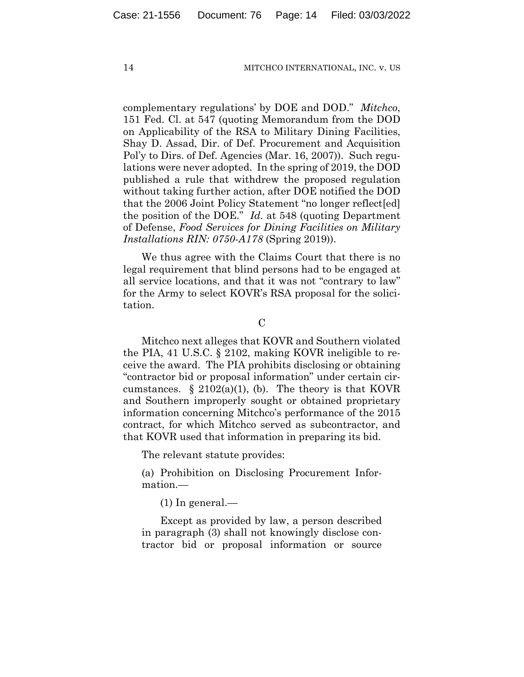complementary regulations' by DOE and DOD." *Mitchco*, 151 Fed. Cl. at 547 (quoting Memorandum from the DOD on Applicability of the RSA to Military Dining Facilities, Shay D. Assad, Dir. of Def. Procurement and Acquisition Pol'y to Dirs. of Def. Agencies (Mar. 16, 2007)). Such regulations were never adopted. In the spring of 2019, the DOD published a rule that withdrew the proposed regulation without taking further action, after DOE notified the DOD that the 2006 Joint Policy Statement "no longer reflect[ed] the position of the DOE." *Id.* at 548 (quoting Department of Defense, *Food Services for Dining Facilities on Military Installations RIN: 0750-A178* (Spring 2019)).

We thus agree with the Claims Court that there is no legal requirement that blind persons had to be engaged at all service locations, and that it was not "contrary to law" for the Army to select KOVR's RSA proposal for the solicitation.

 $\overline{C}$ 

Mitchco next alleges that KOVR and Southern violated the PIA, 41 U.S.C. § 2102, making KOVR ineligible to receive the award. The PIA prohibits disclosing or obtaining "contractor bid or proposal information" under certain circumstances.  $\S$  2102(a)(1), (b). The theory is that KOVR and Southern improperly sought or obtained proprietary information concerning Mitchco's performance of the 2015 contract, for which Mitchco served as subcontractor, and that KOVR used that information in preparing its bid.

The relevant statute provides:

(a) Prohibition on Disclosing Procurement Information.—

 $(1)$  In general.—

Except as provided by law, a person described in paragraph (3) shall not knowingly disclose contractor bid or proposal information or source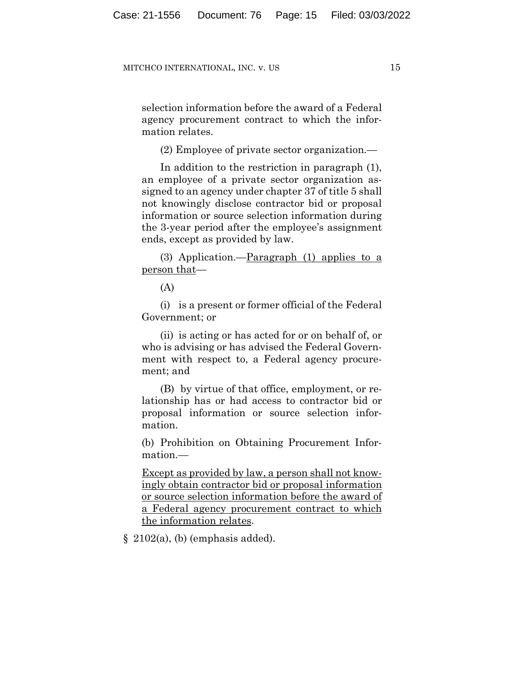selection information before the award of a Federal agency procurement contract to which the information relates.

(2) Employee of private sector organization.—

In addition to the restriction in paragraph (1), an employee of a private sector organization assigned to an agency under chapter 37 of title 5 shall not knowingly disclose contractor bid or proposal information or source selection information during the 3-year period after the employee's assignment ends, except as provided by law.

(3) Application.— $\frac{\text{Paragnah}}{\text{aragon}}$  (1) applies to a person that—

(A)

(i) is a present or former official of the Federal Government; or

(ii) is acting or has acted for or on behalf of, or who is advising or has advised the Federal Government with respect to, a Federal agency procurement; and

(B) by virtue of that office, employment, or relationship has or had access to contractor bid or proposal information or source selection information.

(b) Prohibition on Obtaining Procurement Information.—

Except as provided by law, a person shall not knowingly obtain contractor bid or proposal information or source selection information before the award of a Federal agency procurement contract to which the information relates.

 $§$  2102(a), (b) (emphasis added).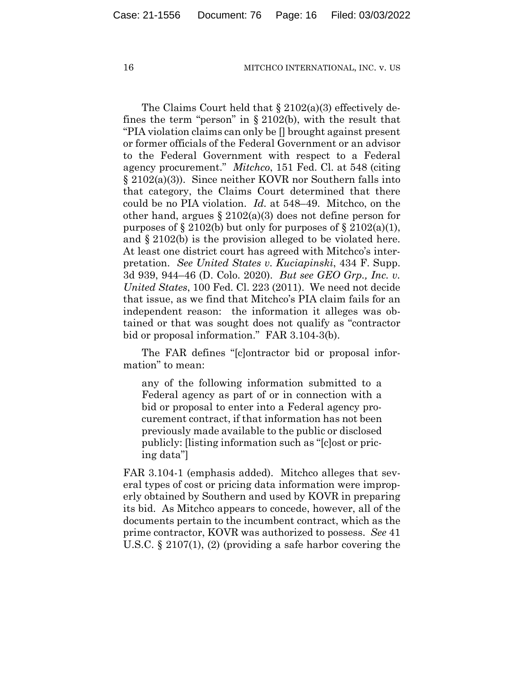The Claims Court held that  $\S 2102(a)(3)$  effectively defines the term "person" in § 2102(b), with the result that "PIA violation claims can only be [] brought against present or former officials of the Federal Government or an advisor to the Federal Government with respect to a Federal agency procurement." *Mitchco*, 151 Fed. Cl. at 548 (citing § 2102(a)(3)). Since neither KOVR nor Southern falls into that category, the Claims Court determined that there could be no PIA violation. *Id.* at 548–49. Mitchco, on the other hand, argues  $\S 2102(a)(3)$  does not define person for purposes of  $\S 2102(b)$  but only for purposes of  $\S 2102(a)(1)$ , and § 2102(b) is the provision alleged to be violated here. At least one district court has agreed with Mitchco's interpretation. *See United States v. Kuciapinski*, 434 F. Supp. 3d 939, 944–46 (D. Colo. 2020). *But see GEO Grp., Inc. v. United States*, 100 Fed. Cl. 223 (2011). We need not decide that issue, as we find that Mitchco's PIA claim fails for an independent reason: the information it alleges was obtained or that was sought does not qualify as "contractor bid or proposal information." FAR 3.104-3(b).

The FAR defines "[c]ontractor bid or proposal information" to mean:

any of the following information submitted to a Federal agency as part of or in connection with a bid or proposal to enter into a Federal agency procurement contract, if that information has not been previously made available to the public or disclosed publicly: [listing information such as "[c]ost or pricing data"]

FAR 3.104-1 (emphasis added). Mitchco alleges that several types of cost or pricing data information were improperly obtained by Southern and used by KOVR in preparing its bid. As Mitchco appears to concede, however, all of the documents pertain to the incumbent contract, which as the prime contractor, KOVR was authorized to possess. *See* 41 U.S.C. § 2107(1), (2) (providing a safe harbor covering the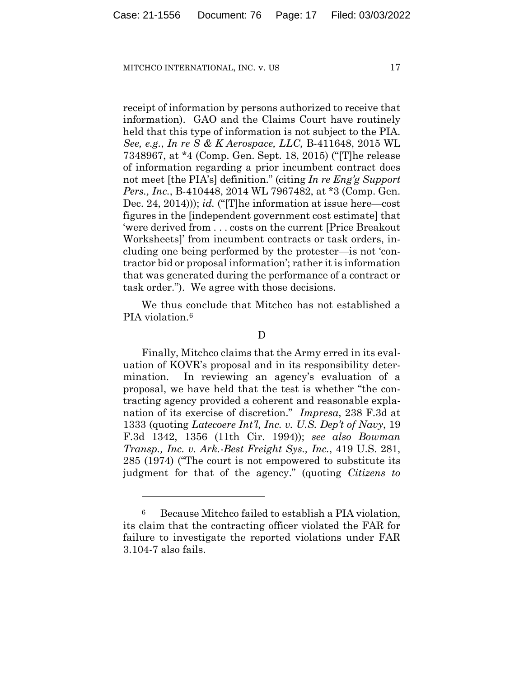receipt of information by persons authorized to receive that information). GAO and the Claims Court have routinely held that this type of information is not subject to the PIA. *See, e.g.*, *In re S & K Aerospace, LLC,* B-411648, 2015 WL 7348967, at \*4 (Comp. Gen. Sept. 18, 2015) ("[T]he release of information regarding a prior incumbent contract does not meet [the PIA's] definition." (citing *In re Eng'g Support Pers., Inc.*, B-410448, 2014 WL 7967482, at \*3 (Comp. Gen. Dec. 24, 2014))); *id.* ("[T]he information at issue here—cost figures in the [independent government cost estimate] that 'were derived from . . . costs on the current [Price Breakout Worksheets]' from incumbent contracts or task orders, including one being performed by the protester—is not 'contractor bid or proposal information'; rather it is information that was generated during the performance of a contract or task order."). We agree with those decisions.

We thus conclude that Mitchco has not established a PIA violation.<sup>6</sup>

D

Finally, Mitchco claims that the Army erred in its evaluation of KOVR's proposal and in its responsibility determination. In reviewing an agency's evaluation of a proposal, we have held that the test is whether "the contracting agency provided a coherent and reasonable explanation of its exercise of discretion." *Impresa*, 238 F.3d at 1333 (quoting *Latecoere Int'l, Inc. v. U.S. Dep't of Navy*, 19 F.3d 1342, 1356 (11th Cir. 1994)); *see also Bowman Transp., Inc. v. Ark.-Best Freight Sys., Inc.*, 419 U.S. 281, 285 (1974) ("The court is not empowered to substitute its judgment for that of the agency." (quoting *Citizens to* 

<sup>6</sup> Because Mitchco failed to establish a PIA violation, its claim that the contracting officer violated the FAR for failure to investigate the reported violations under FAR 3.104-7 also fails.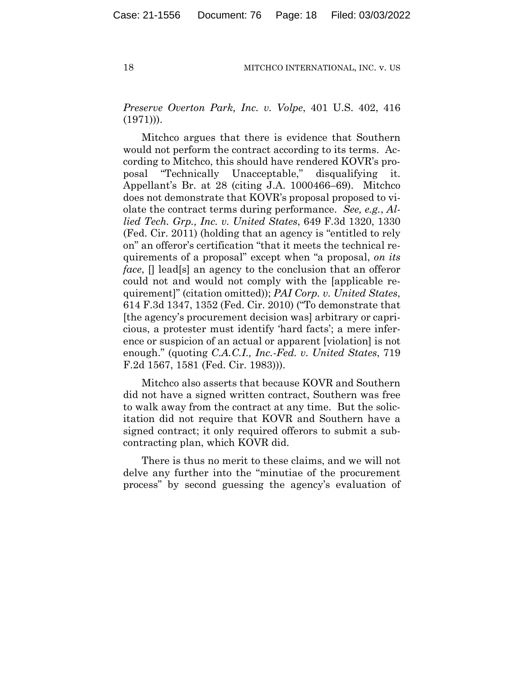*Preserve Overton Park, Inc. v. Volpe*, 401 U.S. 402, 416  $(1971))$ .

Mitchco argues that there is evidence that Southern would not perform the contract according to its terms. According to Mitchco, this should have rendered KOVR's proposal "Technically Unacceptable," disqualifying Appellant's Br. at 28 (citing J.A. 1000466–69). Mitchco does not demonstrate that KOVR's proposal proposed to violate the contract terms during performance. *See, e.g.*, *Allied Tech. Grp., Inc. v. United States*, 649 F.3d 1320, 1330 (Fed. Cir. 2011) (holding that an agency is "entitled to rely on" an offeror's certification "that it meets the technical requirements of a proposal" except when "a proposal, *on its face*,  $\Box$  lead[s] an agency to the conclusion that an offeror could not and would not comply with the [applicable requirement]" (citation omitted)); *PAI Corp. v. United States*, 614 F.3d 1347, 1352 (Fed. Cir. 2010) ("To demonstrate that [the agency's procurement decision was] arbitrary or capricious, a protester must identify 'hard facts'; a mere inference or suspicion of an actual or apparent [violation] is not enough." (quoting *C.A.C.I., Inc.-Fed. v. United States*, 719 F.2d 1567, 1581 (Fed. Cir. 1983))).

Mitchco also asserts that because KOVR and Southern did not have a signed written contract, Southern was free to walk away from the contract at any time. But the solicitation did not require that KOVR and Southern have a signed contract; it only required offerors to submit a subcontracting plan, which KOVR did.

There is thus no merit to these claims, and we will not delve any further into the "minutiae of the procurement process" by second guessing the agency's evaluation of